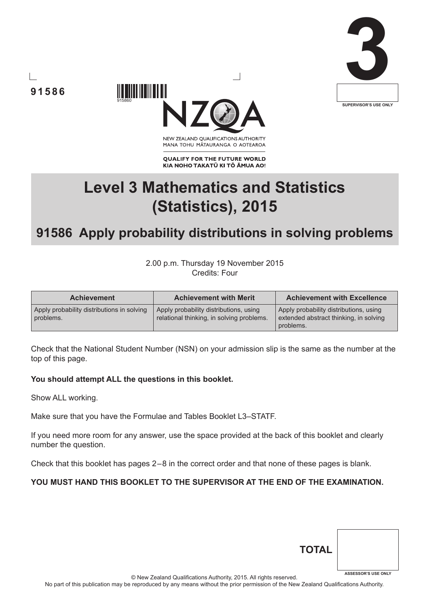





NEW ZEALAND OUALIFICATIONS AUTHORITY MANA TOHU MĀTAURANGA O AOTEAROA

**QUALIFY FOR THE FUTURE WORLD** KIA NOHO TAKATŪ KI TŌ ĀMUA AO!

# **Level 3 Mathematics and Statistics (Statistics), 2015**

## **91586 Apply probability distributions in solving problems**

2.00 p.m. Thursday 19 November 2015 Credits: Four

| <b>Achievement</b>                                      | <b>Achievement with Merit</b>                                                       | <b>Achievement with Excellence</b>                                                            |
|---------------------------------------------------------|-------------------------------------------------------------------------------------|-----------------------------------------------------------------------------------------------|
| Apply probability distributions in solving<br>problems. | Apply probability distributions, using<br>relational thinking, in solving problems. | Apply probability distributions, using<br>extended abstract thinking, in solving<br>problems. |

Check that the National Student Number (NSN) on your admission slip is the same as the number at the top of this page.

### **You should attempt ALL the questions in this booklet.**

915860

Show ALL working.

Make sure that you have the Formulae and Tables Booklet L3–STATF.

If you need more room for any answer, use the space provided at the back of this booklet and clearly number the question.

Check that this booklet has pages 2 – 8 in the correct order and that none of these pages is blank.

### **YOU MUST HAND THIS BOOKLET TO THE SUPERVISOR AT THE END OF THE EXAMINATION.**

| <b>TOTAL</b> |                            |
|--------------|----------------------------|
|              | <b>ASSESSOR'S USE ONLY</b> |

© New Zealand Qualifications Authority, 2015. All rights reserved.

No part of this publication may be reproduced by any means without the prior permission of the New Zealand Qualifications Authority.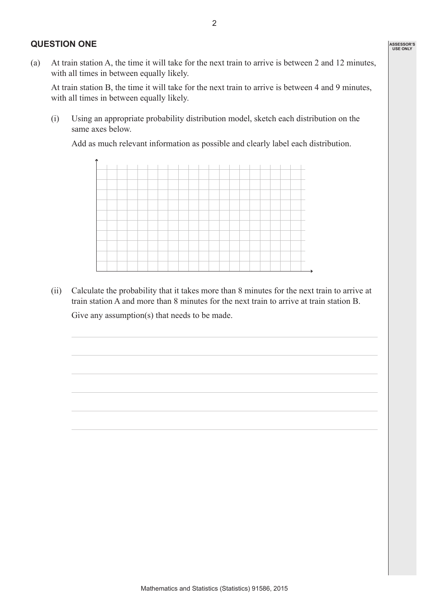#### **QUESTION ONE**

(a) At train station A, the time it will take for the next train to arrive is between 2 and 12 minutes, with all times in between equally likely.

At train station B, the time it will take for the next train to arrive is between 4 and 9 minutes, with all times in between equally likely.

(i) Using an appropriate probability distribution model, sketch each distribution on the same axes below.

Add as much relevant information as possible and clearly label each distribution.



(ii) Calculate the probability that it takes more than 8 minutes for the next train to arrive at train station A and more than 8 minutes for the next train to arrive at train station B.

Give any assumption(s) that needs to be made.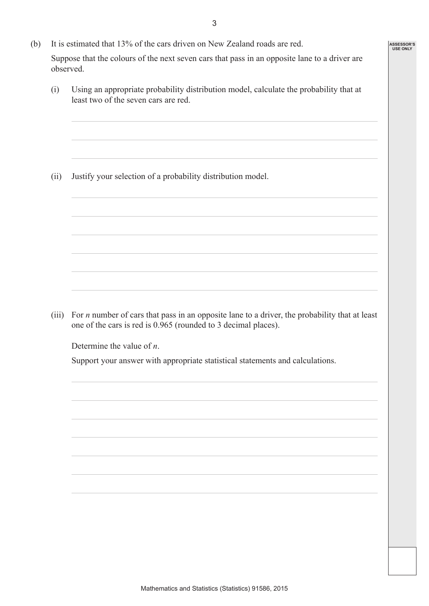3

**ASSESSOR'S USE ONLY**

- (b) It is estimated that 13% of the cars driven on New Zealand roads are red. Suppose that the colours of the next seven cars that pass in an opposite lane to a driver are observed.
	- (i) Using an appropriate probability distribution model, calculate the probability that at least two of the seven cars are red.

(ii) Justify your selection of a probability distribution model.

(iii) For *n* number of cars that pass in an opposite lane to a driver, the probability that at least one of the cars is red is 0.965 (rounded to 3 decimal places).

Determine the value of *n*.

Support your answer with appropriate statistical statements and calculations.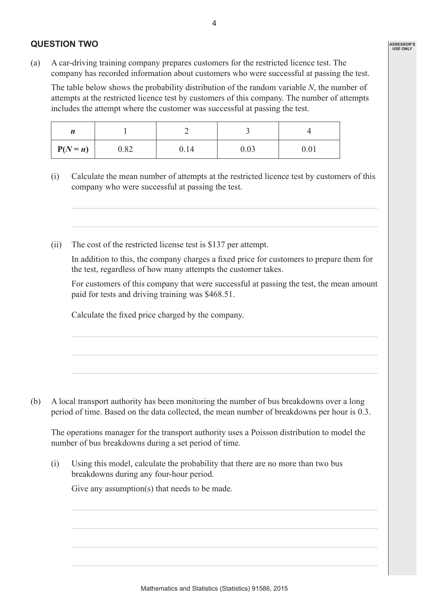### **QUESTION TWO**

(a) A car-driving training company prepares customers for the restricted licence test. The company has recorded information about customers who were successful at passing the test.

The table below shows the probability distribution of the random variable *N*, the number of attempts at the restricted licence test by customers of this company. The number of attempts includes the attempt where the customer was successful at passing the test.

| <i>"</i>   |      |      |      |      |
|------------|------|------|------|------|
| $P(N = n)$ | 0.82 | 0.14 | 0.03 | 0.01 |

- (i) Calculate the mean number of attempts at the restricted licence test by customers of this company who were successful at passing the test.
- (ii) The cost of the restricted license test is \$137 per attempt.

 In addition to this, the company charges a fixed price for customers to prepare them for the test, regardless of how many attempts the customer takes.

 For customers of this company that were successful at passing the test, the mean amount paid for tests and driving training was \$468.51.

 Calculate the fixed price charged by the company.

(b) A local transport authority has been monitoring the number of bus breakdowns over a long period of time. Based on the data collected, the mean number of breakdowns per hour is 0.3.

The operations manager for the transport authority uses a Poisson distribution to model the number of bus breakdowns during a set period of time.

(i) Using this model, calculate the probability that there are no more than two bus breakdowns during any four-hour period.

Give any assumption(s) that needs to be made.

**ASSESSOR'S USE ONLY**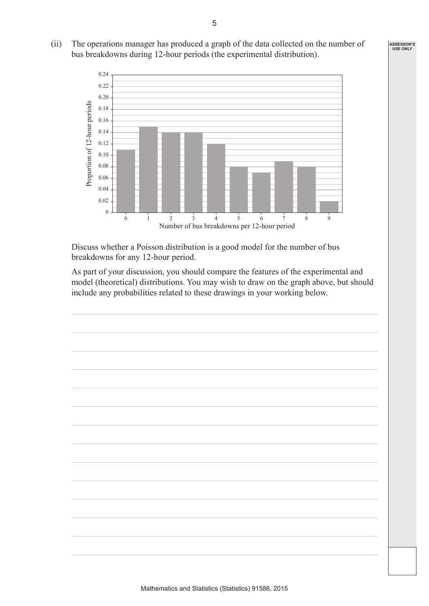- **ASSESSOR'S USE ONLY**
- (ii) The operations manager has produced a graph of the data collected on the number of bus breakdowns during 12-hour periods (the experimental distribution).



 Discuss whether a Poisson distribution is a good model for the number of bus breakdowns for any 12-hour period.

 As part of your discussion, you should compare the features of the experimental and model (theoretical) distributions. You may wish to draw on the graph above, but should include any probabilities related to these drawings in your working below.

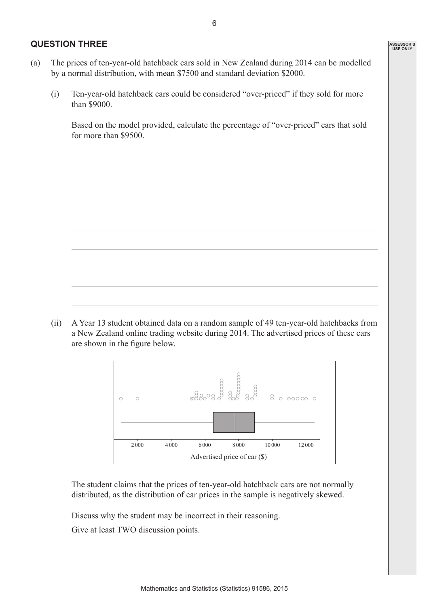#### **QUESTION THREE**

- (a) The prices of ten-year-old hatchback cars sold in New Zealand during 2014 can be modelled by a normal distribution, with mean \$7500 and standard deviation \$2000.
	- (i) Ten-year-old hatchback cars could be considered "over-priced" if they sold for more than \$9000.

 Based on the model provided, calculate the percentage of "over-priced" cars that sold for more than \$9500.





 The student claims that the prices of ten-year-old hatchback cars are not normally distributed, as the distribution of car prices in the sample is negatively skewed.

Discuss why the student may be incorrect in their reasoning.

Give at least TWO discussion points.

**ASSESSOR'S USE ONLY**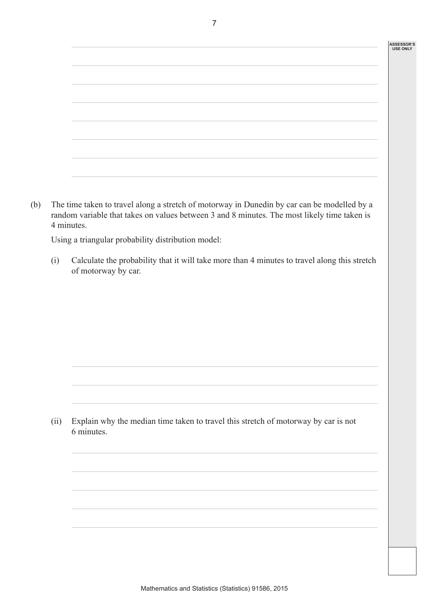#### **ASSESSOR'S USE ONLY**

| the contract of the contract of the contract of the contract of the contract of |  |
|---------------------------------------------------------------------------------|--|

(b) The time taken to travel along a stretch of motorway in Dunedin by car can be modelled by a random variable that takes on values between 3 and 8 minutes. The most likely time taken is 4 minutes.

Using a triangular probability distribution model:

(i) Calculate the probability that it will take more than 4 minutes to travel along this stretch of motorway by car.

(ii) Explain why the median time taken to travel this stretch of motorway by car is not 6 minutes.